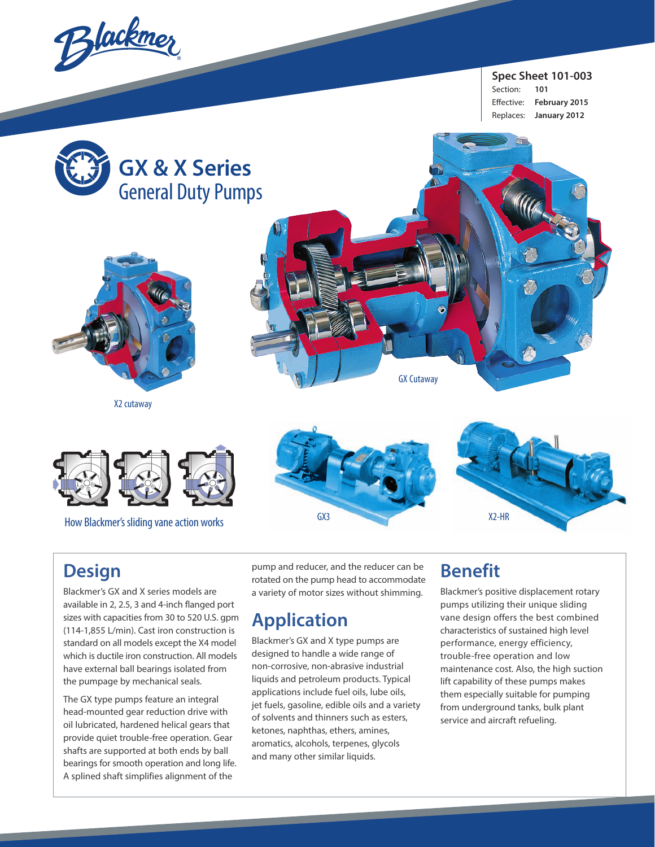Blackmer

**Spec Sheet 101-003**  Section: **101** Effective: **February 2015** Replaces: **January 2012**



## **Design**

Blackmer's GX and X series models are available in 2, 2.5, 3 and 4-inch flanged port sizes with capacities from 30 to 520 U.S. gpm (114-1,855 L/min). Cast iron construction is standard on all models except the X4 model which is ductile iron construction. All models have external ball bearings isolated from the pumpage by mechanical seals.

The GX type pumps feature an integral head-mounted gear reduction drive with oil lubricated, hardened helical gears that provide quiet trouble-free operation. Gear shafts are supported at both ends by ball bearings for smooth operation and long life. A splined shaft simplifies alignment of the

pump and reducer, and the reducer can be rotated on the pump head to accommodate a variety of motor sizes without shimming.

# **Application**

Blackmer's GX and X type pumps are designed to handle a wide range of non-corrosive, non-abrasive industrial liquids and petroleum products. Typical applications include fuel oils, lube oils, jet fuels, gasoline, edible oils and a variety of solvents and thinners such as esters, ketones, naphthas, ethers, amines, aromatics, alcohols, terpenes, glycols and many other similar liquids.

# **Benefit**

Blackmer's positive displacement rotary pumps utilizing their unique sliding vane design offers the best combined characteristics of sustained high level performance, energy efficiency, trouble-free operation and low maintenance cost. Also, the high suction lift capability of these pumps makes them especially suitable for pumping from underground tanks, bulk plant service and aircraft refueling.